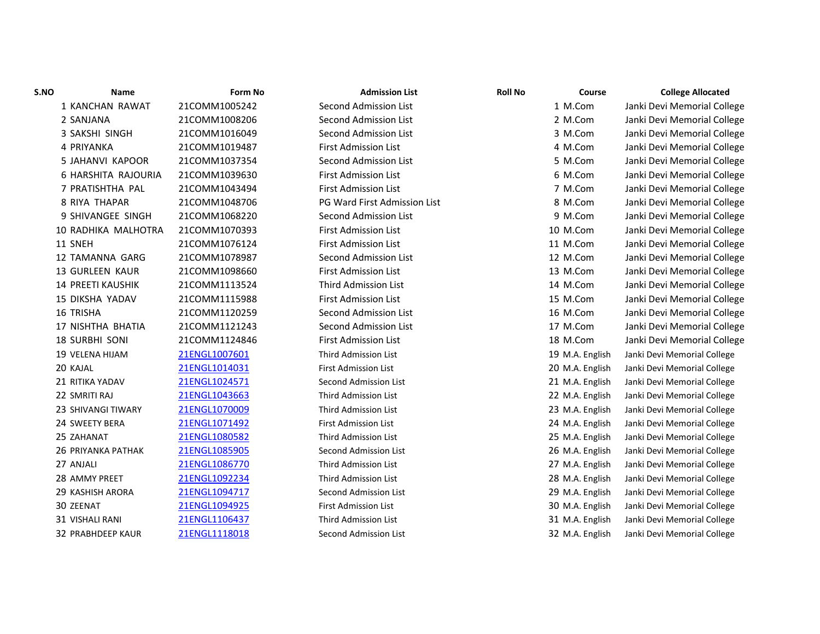| S.NO | Name                      | Form No       | <b>Admission List</b>        | <b>Roll No</b> | Course          | <b>College Allocated</b>    |
|------|---------------------------|---------------|------------------------------|----------------|-----------------|-----------------------------|
|      | 1 KANCHAN RAWAT           | 21COMM1005242 | <b>Second Admission List</b> |                | 1 M.Com         | Janki Devi Memorial College |
|      | 2 SANJANA                 | 21COMM1008206 | Second Admission List        |                | 2 M.Com         | Janki Devi Memorial College |
|      | 3 SAKSHI SINGH            | 21COMM1016049 | <b>Second Admission List</b> |                | 3 M.Com         | Janki Devi Memorial College |
|      | 4 PRIYANKA                | 21COMM1019487 | <b>First Admission List</b>  |                | 4 M.Com         | Janki Devi Memorial College |
|      | 5 JAHANVI KAPOOR          | 21COMM1037354 | Second Admission List        |                | 5 M.Com         | Janki Devi Memorial College |
|      | 6 HARSHITA RAJOURIA       | 21COMM1039630 | <b>First Admission List</b>  |                | 6 M.Com         | Janki Devi Memorial College |
|      | 7 PRATISHTHA PAL          | 21COMM1043494 | <b>First Admission List</b>  |                | 7 M.Com         | Janki Devi Memorial College |
|      | 8 RIYA THAPAR             | 21COMM1048706 | PG Ward First Admission List |                | 8 M.Com         | Janki Devi Memorial College |
|      | 9 SHIVANGEE SINGH         | 21COMM1068220 | Second Admission List        |                | 9 M.Com         | Janki Devi Memorial College |
|      | 10 RADHIKA MALHOTRA       | 21COMM1070393 | <b>First Admission List</b>  |                | 10 M.Com        | Janki Devi Memorial College |
|      | 11 SNEH                   | 21COMM1076124 | <b>First Admission List</b>  |                | 11 M.Com        | Janki Devi Memorial College |
|      | 12 TAMANNA GARG           | 21COMM1078987 | Second Admission List        |                | 12 M.Com        | Janki Devi Memorial College |
|      | <b>13 GURLEEN KAUR</b>    | 21COMM1098660 | <b>First Admission List</b>  |                | 13 M.Com        | Janki Devi Memorial College |
|      | <b>14 PREETI KAUSHIK</b>  | 21COMM1113524 | <b>Third Admission List</b>  |                | 14 M.Com        | Janki Devi Memorial College |
|      | <b>15 DIKSHA YADAV</b>    | 21COMM1115988 | First Admission List         |                | 15 M.Com        | Janki Devi Memorial College |
|      | <b>16 TRISHA</b>          | 21COMM1120259 | Second Admission List        |                | 16 M.Com        | Janki Devi Memorial College |
|      | 17 NISHTHA BHATIA         | 21COMM1121243 | Second Admission List        |                | 17 M.Com        | Janki Devi Memorial College |
|      | <b>18 SURBHI SONI</b>     | 21COMM1124846 | <b>First Admission List</b>  |                | 18 M.Com        | Janki Devi Memorial College |
|      | <b>19 VELENA HIJAM</b>    | 21ENGL1007601 | <b>Third Admission List</b>  |                | 19 M.A. English | Janki Devi Memorial College |
|      | 20 KAJAL                  | 21ENGL1014031 | <b>First Admission List</b>  |                | 20 M.A. English | Janki Devi Memorial College |
|      | 21 RITIKA YADAV           | 21ENGL1024571 | Second Admission List        |                | 21 M.A. English | Janki Devi Memorial College |
|      | 22 SMRITI RAJ             | 21ENGL1043663 | <b>Third Admission List</b>  |                | 22 M.A. English | Janki Devi Memorial College |
|      | 23 SHIVANGI TIWARY        | 21ENGL1070009 | <b>Third Admission List</b>  |                | 23 M.A. English | Janki Devi Memorial College |
|      | 24 SWEETY BERA            | 21ENGL1071492 | <b>First Admission List</b>  |                | 24 M.A. English | Janki Devi Memorial College |
|      | 25 ZAHANAT                | 21ENGL1080582 | Third Admission List         |                | 25 M.A. English | Janki Devi Memorial College |
|      | <b>26 PRIYANKA PATHAK</b> | 21ENGL1085905 | Second Admission List        |                | 26 M.A. English | Janki Devi Memorial College |
|      | 27 ANJALI                 | 21ENGL1086770 | <b>Third Admission List</b>  |                | 27 M.A. English | Janki Devi Memorial College |
|      | 28 AMMY PREET             | 21ENGL1092234 | <b>Third Admission List</b>  |                | 28 M.A. English | Janki Devi Memorial College |
|      | 29 KASHISH ARORA          | 21ENGL1094717 | Second Admission List        |                | 29 M.A. English | Janki Devi Memorial College |
|      | 30 ZEENAT                 | 21ENGL1094925 | <b>First Admission List</b>  |                | 30 M.A. English | Janki Devi Memorial College |
|      | 31 VISHALI RANI           | 21ENGL1106437 | <b>Third Admission List</b>  |                | 31 M.A. English | Janki Devi Memorial College |
|      | 32 PRABHDEEP KAUR         | 21ENGL1118018 | Second Admission List        |                | 32 M.A. English | Janki Devi Memorial College |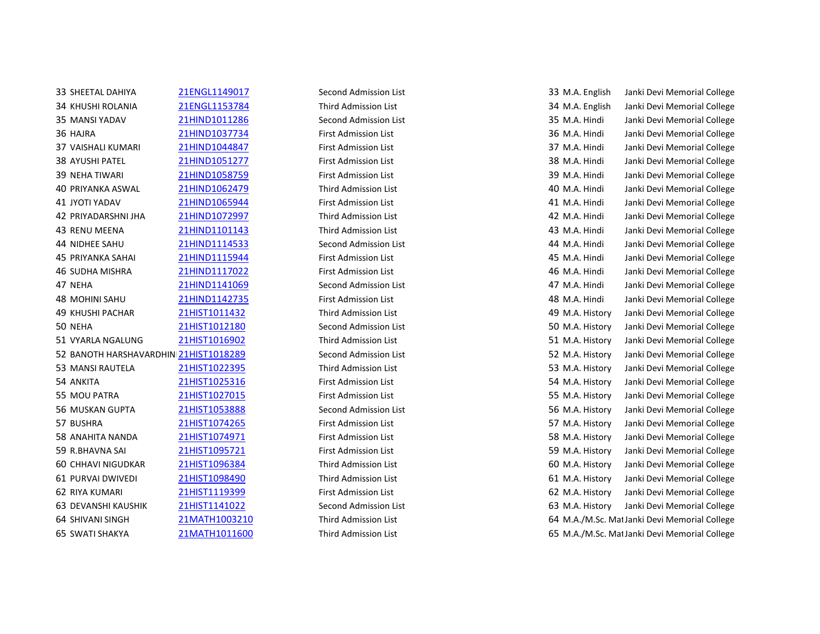33 SHEETAL DAHIYA 21ENGL1149017 Second Admission List 33 M.A. English Janki Devi Memorial College KHUSHI ROLANIA 21ENGL1153784 Third Admission List 34 M.A. English Janki Devi Memorial College MANSI YADAV 21HIND1011286 Second Admission List 35 M.A. Hindi Janki Devi Memorial College HAJRA 21HIND1037734 First Admission List 36 M.A. Hindi Janki Devi Memorial College VAISHALI KUMARI 21HIND1044847 First Admission List 37 M.A. Hindi Janki Devi Memorial College AYUSHI PATEL 21HIND1051277 First Admission List 38 M.A. Hindi Janki Devi Memorial College NEHA TIWARI 21HIND1058759 First Admission List 39 M.A. Hindi Janki Devi Memorial College PRIYANKA ASWAL 21HIND1062479 Third Admission List 40 M.A. Hindi Janki Devi Memorial College JYOTI YADAV 21HIND1065944 First Admission List 41 M.A. Hindi Janki Devi Memorial College PRIYADARSHNI JHA 21HIND1072997 Third Admission List 42 M.A. Hindi Janki Devi Memorial College RENU MEENA 21HIND1101143 Third Admission List 43 M.A. Hindi Janki Devi Memorial College NIDHEE SAHU 21HIND1114533 Second Admission List 44 M.A. Hindi Janki Devi Memorial College PRIYANKA SAHAI 21HIND1115944 First Admission List 45 M.A. Hindi Janki Devi Memorial College SUDHA MISHRA 21HIND1117022 First Admission List 46 M.A. Hindi Janki Devi Memorial College NEHA 21HIND1141069 Second Admission List 47 M.A. Hindi Janki Devi Memorial College MOHINI SAHU 21HIND1142735 First Admission List 48 M.A. Hindi Janki Devi Memorial College KHUSHI PACHAR 21HIST1011432 Third Admission List 49 M.A. History Janki Devi Memorial College NEHA 21HIST1012180 Second Admission List 50 M.A. History Janki Devi Memorial College VYARLA NGALUNG 21HIST1016902 Third Admission List 51 M.A. History Janki Devi Memorial College 52 BANOTH HARSHAVARDHIN 21HIST1018289 Second Admission List 52 M.A. History Janki Devi Memorial College MANSI RAUTELA 21HIST1022395 Third Admission List 53 M.A. History Janki Devi Memorial College ANKITA 21HIST1025316 First Admission List 54 M.A. History Janki Devi Memorial College MOU PATRA 21HIST1027015 First Admission List 55 M.A. History Janki Devi Memorial College MUSKAN GUPTA 21HIST1053888 Second Admission List 56 M.A. History Janki Devi Memorial College BUSHRA 21HIST1074265 First Admission List 57 M.A. History Janki Devi Memorial College ANAHITA NANDA 21HIST1074971 First Admission List 58 M.A. History Janki Devi Memorial College R.BHAVNA SAI 21HIST1095721 First Admission List 59 M.A. History Janki Devi Memorial College CHHAVI NIGUDKAR 21HIST1096384 Third Admission List 60 M.A. History Janki Devi Memorial College PURVAI DWIVEDI 21HIST1098490 Third Admission List 61 M.A. History Janki Devi Memorial College RIYA KUMARI 21HIST1119399 First Admission List 62 M.A. History Janki Devi Memorial College DEVANSHI KAUSHIK 21HIST1141022 Second Admission List 63 M.A. History Janki Devi Memorial College 64 SHIVANI SINGH 21MATH1003210 Third Admission List 64 M.A./M.Sc. Mat Janki Devi Memorial College 65 SWATI SHAKYA 21MATH1011600 Third Admission List 65 M.A./M.Sc. Mat Janki Devi Memorial College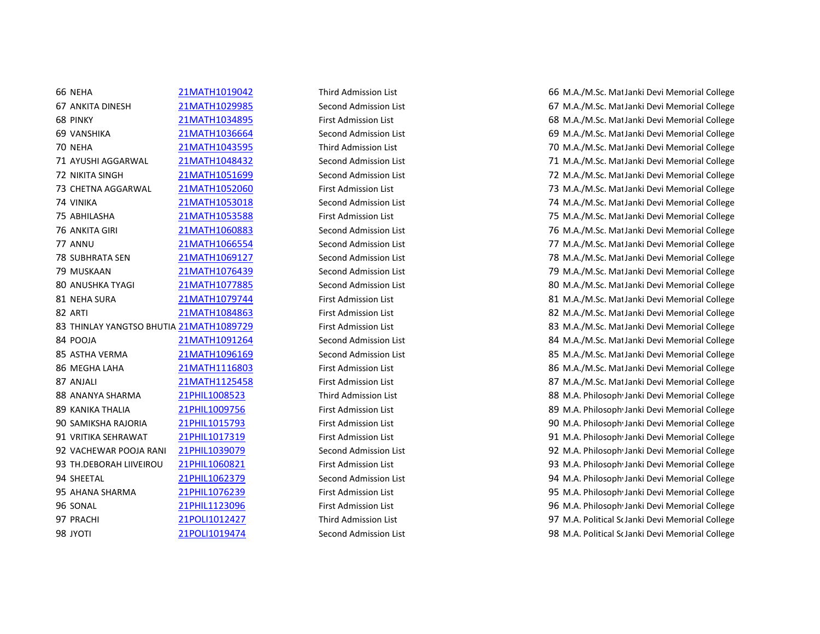66 NEHA 21MATH1019042 Third Admission List 66 M.A./M.Sc. Mat Janki Devi Memorial College

67 ANKITA DINESH 21MATH1029985 Second Admission List 67 M.A./M.Sc. Mat Janki Devi Memorial College 68 PINKY 21MATH1034895 First Admission List 68 M.A./M.Sc. Mathematics Janki Devi Memorial College 69 VANSHIKA 21MATH1036664 Second Admission List 69 M.A./M.Sc. Mathematics Janki Devi Memorial College 70 NEHA 21MATH1043595 Third Admission List 70 M.A./M.Sc. Mat Janki Devi Memorial College 71 AYUSHI AGGARWAL 21MATH1048432 Second Admission List 71 M.A./M.Sc. MatJanki Devi Memorial College 72 NIKITA SINGH 21MATH1051699 Second Admission List 72 M.A./M.Sc. Mat Janki Devi Memorial College 73 CHETNA AGGARWAL 21MATH1052060 First Admission List 73 M.A./M.Sc. Mat Janki Devi Memorial College 74 VINIKA 21MATH1053018 Second Admission List 74 M.A./M.Sc. Mathematics Janki Devi Memorial College 75 ABHILASHA 21MATH1053588 First Admission List 75 M.A./M.Sc. Mathematics Janki Devi Memorial College 76 ANKITA GIRI 21MATH1060883 Second Admission List 76 M.A./M.Sc. Mathematics Janki Devi Memorial College 77 ANNU 21MATH1066554 Second Admission List 77 M.A./M.Sc. Mat Janki Devi Memorial College 78 SUBHRATA SEN 21MATH1069127 Second Admission List 78 M.A./M.Sc. Mat Janki Devi Memorial College 79 MUSKAAN 21MATH1076439 Second Admission List 79 M.A./M.Sc. Mathematics Janki Devi Memorial College 80 ANUSHKA TYAGI 21MATH1077885 Second Admission List 80 M.A./M.Sc. Mat Janki Devi Memorial College 81 NEHA SURA 21MATH1079744 First Admission List 81 M.A./M.Sc. Mat Janki Devi Memorial College 82 ARTI 21MATH1084863 First Admission List 82 M.A./M.Sc. Mat Janki Devi Memorial College 83 THINLAY YANGTSO BHUTIA 21MATH1089729 First Admission List 83 M.A./M.Sc. MatJanki Devi Memorial College 84 POOJA 21MATH1091264 Second Admission List 84 M.A./M.Sc. MatJanki Devi Memorial College 85 ASTHA VERMA 21MATH1096169 Second Admission List 85 M.A./M.Sc. Mat Janki Devi Memorial College 86 MEGHA LAHA 21MATH1116803 First Admission List 86 M.A./M.Sc. Mat Janki Devi Memorial College 87 ANJALI 21MATH1125458 First Admission List 87 M.A./M.Sc. Mat Janki Devi Memorial College 88 ANANYA SHARMA 21PHIL1008523 Third Admission List 88 M.A. Philosoph Janki Devi Memorial College 89 KANIKA THALIA 21PHIL1009756 First Admission List 89 K.A. Philosoph Janki Devi Memorial College 90 SAMIKSHA RAJORIA 21PHIL1015793 First Admission List 90 M.A. PhilosophyJanki Devi Memorial College 91 VRITIKA SEHRAWAT 21PHIL1017319 First Admission List 91 M.A. PhilosophyJanki Devi Memorial College 92 VACHEWAR POOJA RANI 21PHIL1039079 Second Admission List 92 M.A. PhilosophyJanki Devi Memorial College 93 TH.DEBORAH LIIVEIROU 21PHIL1060821 First Admission List 93 M.A. PhilosophyJanki Devi Memorial College 94 SHEETAL 21PHIL1062379 Second Admission List 94 M.A. PhilosophyJanki Devi Memorial College 95 AHANA SHARMA 21PHIL1076239 First Admission List 95 M.A. PhilosophyJanki Devi Memorial College 96 SONAL 21PHIL1123096 First Admission List 96 M.A. PhilosophyJanki Devi Memorial College 97 PRACHI 21POLI1012427 Third Admission List 1986 1997 M.A. Political Sc Janki Devi Memorial College 98 JYOTI 21POLI1019474 Second Admission List 98 M.A. Political ScJanki Devi Memorial College 98 M.A. Political ScJanki Devi Memorial College